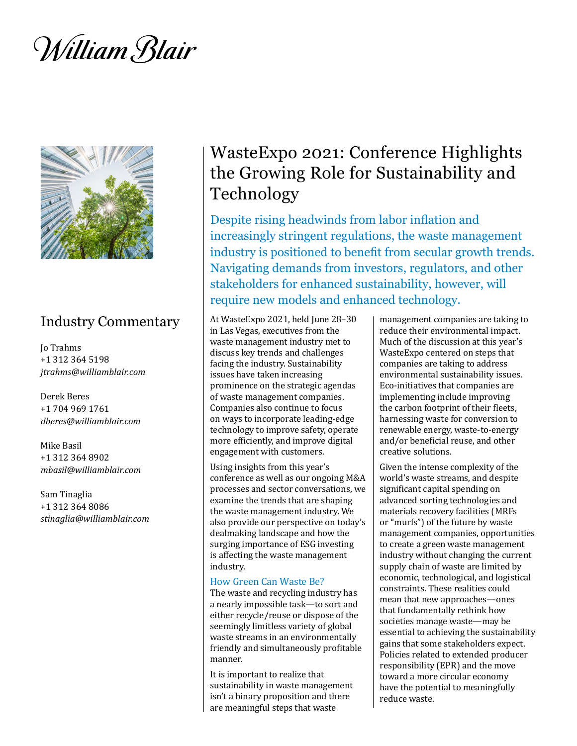William Blair



## Industry Commentary

Jo Trahms +1 312 364 5198 *jtrahms@williamblair.com*

Derek Beres +1 704 969 1761 *dberes@williamblair.com*

Mike Basil +1 312 364 8902 *mbasil@williamblair.com*

Sam Tinaglia +1 312 364 8086 *stinaglia@williamblair.com*

# WasteExpo 2021: Conference Highlights the Growing Role for Sustainability and Technology

Despite rising headwinds from labor inflation and increasingly stringent regulations, the waste management industry is positioned to benefit from secular growth trends. Navigating demands from investors, regulators, and other stakeholders for enhanced sustainability, however, will require new models and enhanced technology.

At WasteExpo 2021, held June 28–30 in Las Vegas, executives from the waste management industry met to discuss key trends and challenges facing the industry. Sustainability issues have taken increasing prominence on the strategic agendas of waste management companies. Companies also continue to focus on ways to incorporate leading-edge technology to improve safety, operate more efficiently, and improve digital engagement with customers.

Using insights from this year's conference as well as our ongoing M&A processes and sector conversations, we examine the trends that are shaping the waste management industry. We also provide our perspective on today's dealmaking landscape and how the surging importance of ESG investing is affecting the waste management industry.

#### How Green Can Waste Be?

The waste and recycling industry has a nearly impossible task—to sort and either recycle/reuse or dispose of the seemingly limitless variety of global waste streams in an environmentally friendly and simultaneously profitable manner.

It is important to realize that sustainability in waste management isn't a binary proposition and there are meaningful steps that waste

management companies are taking to reduce their environmental impact. Much of the discussion at this year's WasteExpo centered on steps that companies are taking to address environmental sustainability issues. Eco-initiatives that companies are implementing include improving the carbon footprint of their fleets, harnessing waste for conversion to renewable energy, waste-to-energy and/or beneficial reuse, and other creative solutions.

Given the intense complexity of the world's waste streams, and despite significant capital spending on advanced sorting technologies and materials recovery facilities (MRFs or "murfs") of the future by waste management companies, opportunities to create a green waste management industry without changing the current supply chain of waste are limited by economic, technological, and logistical constraints. These realities could mean that new approaches—ones that fundamentally rethink how societies manage waste—may be essential to achieving the sustainability gains that some stakeholders expect. Policies related to extended producer responsibility (EPR) and the move toward a more circular economy have the potential to meaningfully reduce waste.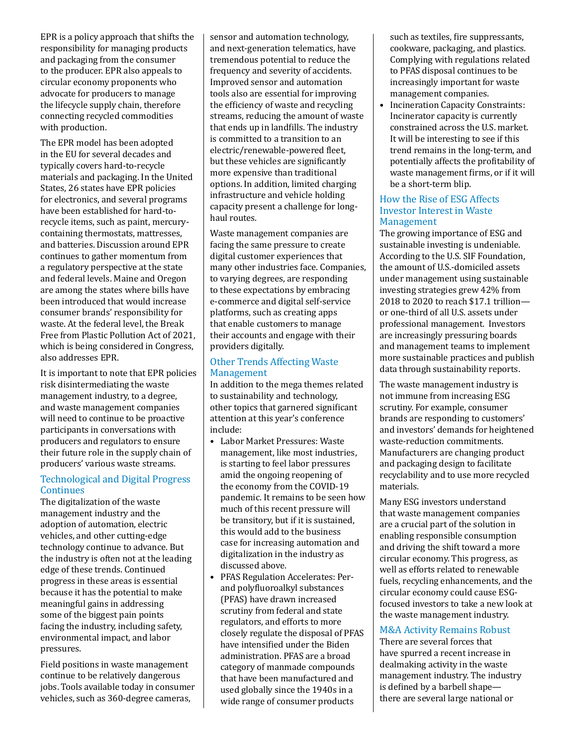EPR is a policy approach that shifts the responsibility for managing products and packaging from the consumer to the producer. EPR also appeals to circular economy proponents who advocate for producers to manage the lifecycle supply chain, therefore connecting recycled commodities with production.

The EPR model has been adopted in the EU for several decades and typically covers hard-to-recycle materials and packaging. In the United States, 26 states have EPR policies for electronics, and several programs have been established for hard-torecycle items, such as paint, mercurycontaining thermostats, mattresses, and batteries. Discussion around EPR continues to gather momentum from a regulatory perspective at the state and federal levels. Maine and Oregon are among the states where bills have been introduced that would increase consumer brands' responsibility for waste. At the federal level, the Break Free from Plastic Pollution Act of 2021, which is being considered in Congress, also addresses EPR.

It is important to note that EPR policies risk disintermediating the waste management industry, to a degree, and waste management companies will need to continue to be proactive participants in conversations with producers and regulators to ensure their future role in the supply chain of producers' various waste streams.

#### Technological and Digital Progress **Continues**

The digitalization of the waste management industry and the adoption of automation, electric vehicles, and other cutting-edge technology continue to advance. But the industry is often not at the leading edge of these trends. Continued progress in these areas is essential because it has the potential to make meaningful gains in addressing some of the biggest pain points facing the industry, including safety, environmental impact, and labor pressures.

Field positions in waste management continue to be relatively dangerous jobs. Tools available today in consumer vehicles, such as 360-degree cameras,

sensor and automation technology, and next-generation telematics, have tremendous potential to reduce the frequency and severity of accidents. Improved sensor and automation tools also are essential for improving the efficiency of waste and recycling streams, reducing the amount of waste that ends up in landfills. The industry is committed to a transition to an electric/renewable-powered fleet, but these vehicles are significantly more expensive than traditional options. In addition, limited charging infrastructure and vehicle holding capacity present a challenge for longhaul routes.

Waste management companies are facing the same pressure to create digital customer experiences that many other industries face. Companies, to varying degrees, are responding to these expectations by embracing e-commerce and digital self-service platforms, such as creating apps that enable customers to manage their accounts and engage with their providers digitally.

#### Other Trends Affecting Waste Management

In addition to the mega themes related to sustainability and technology, other topics that garnered significant attention at this year's conference include:

- Labor Market Pressures: Waste management, like most industries, is starting to feel labor pressures amid the ongoing reopening of the economy from the COVID-19 pandemic. It remains to be seen how much of this recent pressure will be transitory, but if it is sustained, this would add to the business case for increasing automation and digitalization in the industry as discussed above.
- PFAS Regulation Accelerates: Perand polyfluoroalkyl substances (PFAS) have drawn increased scrutiny from federal and state regulators, and efforts to more closely regulate the disposal of PFAS have intensified under the Biden administration. PFAS are a broad category of manmade compounds that have been manufactured and used globally since the 1940s in a wide range of consumer products

such as textiles, fire suppressants, cookware, packaging, and plastics. Complying with regulations related to PFAS disposal continues to be increasingly important for waste management companies.

• Incineration Capacity Constraints: Incinerator capacity is currently constrained across the U.S. market. It will be interesting to see if this trend remains in the long-term, and potentially affects the profitability of waste management firms, or if it will be a short-term blip.

#### How the Rise of ESG Affects Investor Interest in Waste Management

The growing importance of ESG and sustainable investing is undeniable. According to the U.S. SIF Foundation, the amount of U.S.-domiciled assets under management using sustainable investing strategies grew 42% from 2018 to 2020 to reach \$17.1 trillion or one-third of all U.S. assets under professional management. Investors are increasingly pressuring boards and management teams to implement more sustainable practices and publish data through sustainability reports.

The waste management industry is not immune from increasing ESG scrutiny. For example, consumer brands are responding to customers' and investors' demands for heightened waste-reduction commitments. Manufacturers are changing product and packaging design to facilitate recyclability and to use more recycled materials.

Many ESG investors understand that waste management companies are a crucial part of the solution in enabling responsible consumption and driving the shift toward a more circular economy. This progress, as well as efforts related to renewable fuels, recycling enhancements, and the circular economy could cause ESGfocused investors to take a new look at the waste management industry.

### M&A Activity Remains Robust

There are several forces that have spurred a recent increase in dealmaking activity in the waste management industry. The industry is defined by a barbell shape there are several large national or